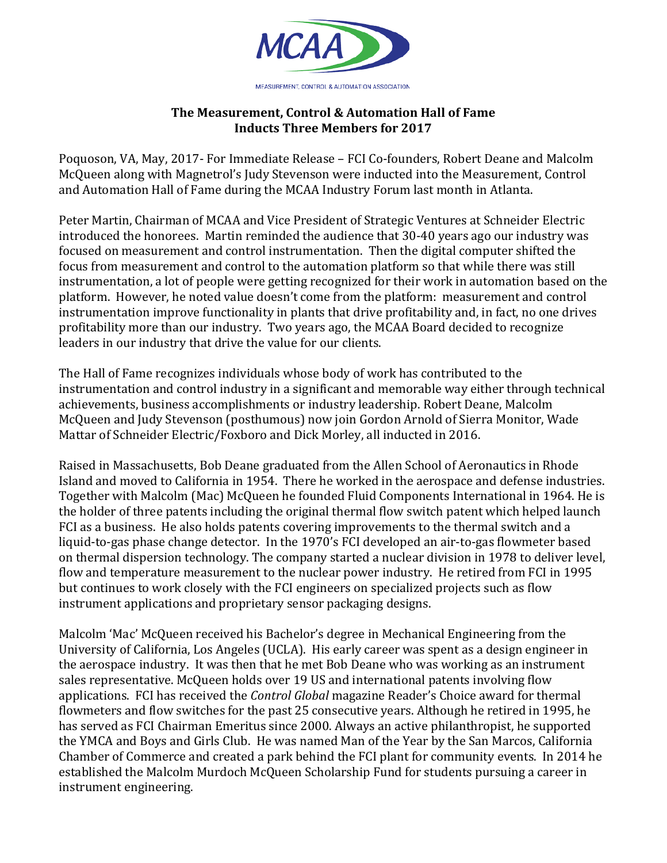

## **The Measurement, Control & Automation Hall of Fame Inducts Three Members for 2017**

Poquoson, VA, May, 2017- For Immediate Release – FCI Co-founders, Robert Deane and Malcolm McQueen along with Magnetrol's Judy Stevenson were inducted into the Measurement, Control and Automation Hall of Fame during the MCAA Industry Forum last month in Atlanta.

Peter Martin, Chairman of MCAA and Vice President of Strategic Ventures at Schneider Electric introduced the honorees. Martin reminded the audience that 30-40 years ago our industry was focused on measurement and control instrumentation. Then the digital computer shifted the focus from measurement and control to the automation platform so that while there was still instrumentation, a lot of people were getting recognized for their work in automation based on the platform. However, he noted value doesn't come from the platform: measurement and control instrumentation improve functionality in plants that drive profitability and, in fact, no one drives profitability more than our industry. Two years ago, the MCAA Board decided to recognize leaders in our industry that drive the value for our clients.

The Hall of Fame recognizes individuals whose body of work has contributed to the instrumentation and control industry in a significant and memorable way either through technical achievements, business accomplishments or industry leadership. Robert Deane, Malcolm McQueen and Judy Stevenson (posthumous) now join Gordon Arnold of Sierra Monitor, Wade Mattar of Schneider Electric/Foxboro and Dick Morley, all inducted in 2016.

Raised in Massachusetts, Bob Deane graduated from the Allen School of Aeronautics in Rhode Island and moved to California in 1954. There he worked in the aerospace and defense industries. Together with Malcolm (Mac) McQueen he founded Fluid Components International in 1964. He is the holder of three patents including the original thermal flow switch patent which helped launch FCI as a business. He also holds patents covering improvements to the thermal switch and a liquid-to-gas phase change detector. In the 1970's FCI developed an air-to-gas flowmeter based on thermal dispersion technology. The company started a nuclear division in 1978 to deliver level, flow and temperature measurement to the nuclear power industry. He retired from FCI in 1995 but continues to work closely with the FCI engineers on specialized projects such as flow instrument applications and proprietary sensor packaging designs.

Malcolm 'Mac' McQueen received his Bachelor's degree in Mechanical Engineering from the University of California, Los Angeles (UCLA). His early career was spent as a design engineer in the aerospace industry. It was then that he met Bob Deane who was working as an instrument sales representative. McQueen holds over 19 US and international patents involving flow applications. FCI has received the *Control Global* magazine Reader's Choice award for thermal flowmeters and flow switches for the past 25 consecutive years. Although he retired in 1995, he has served as FCI Chairman Emeritus since 2000. Always an active philanthropist, he supported the YMCA and Boys and Girls Club. He was named Man of the Year by the San Marcos, California Chamber of Commerce and created a park behind the FCI plant for community events. In 2014 he established the Malcolm Murdoch McQueen Scholarship Fund for students pursuing a career in instrument engineering.